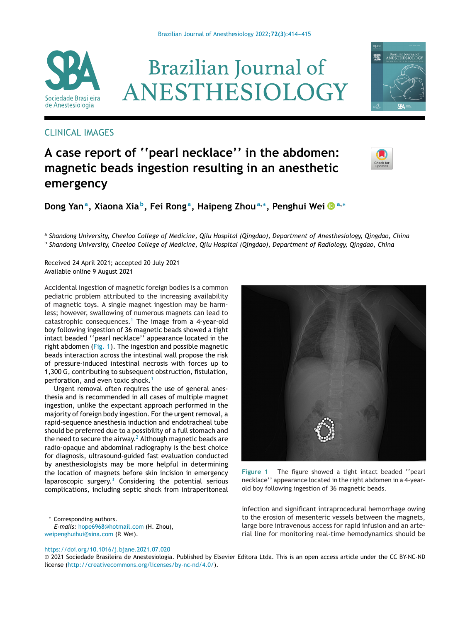

# **Brazilian Journal of** ANESTHESIOLOGY

### CLINICAL IMAGES

## **A case report of ''pearl necklace'' in the abdomen: magnetic beads ingestion resulting in an anesthetic emergency**

**Dong Yana, Xiaona Xia b, Fei Rong a, Haipeng Zhou<sup>a</sup>,∗, Penghui Wei <sup>a</sup>,<sup>∗</sup>**

<sup>a</sup> *Shandong University, Cheeloo College of Medicine, Qilu Hospital (Qingdao), Department of Anesthesiology, Qingdao, China* <sup>b</sup> *Shandong University, Cheeloo College of Medicine, Qilu Hospital (Qingdao), Department of Radiology, Qingdao, China*

Received 24 April 2021; accepted 20 July 2021 Available online 9 August 2021

Accidental ingestion of magnetic foreign bodies is a common pediatric problem attributed to the increasing availability of magnetic toys. A single magnet ingestion may be harmless; however, swallowing of numerous magnets can lead to catastrophic consequences.<sup>[1](#page-1-0)</sup> The image from a 4-year-old boy following ingestion of 36 magnetic beads showed a tight intact beaded ''pearl necklace'' appearance located in the right abdomen (Fig. 1). The ingestion and possible magnetic beads interaction across the intestinal wall propose the risk of pressure-induced intestinal necrosis with forces up to 1,300 G, contributing to subsequent obstruction, fistulation, perforation, and even toxic shock.<sup>[1](#page-1-0)</sup>

Urgent removal often requires the use of general anesthesia and is recommended in all cases of multiple magnet ingestion, unlike the expectant approach performed in the majority of foreign body ingestion. For the urgent removal, a rapid-sequence anesthesia induction and endotracheal tube should be preferred due to a possibility of a full stomach and the need to secure the airway.<sup>2</sup> [A](#page-1-0)lthough magnetic beads are radio-opaque and abdominal radiography is the best choice for diagnosis, ultrasound-guided fast evaluation conducted by anesthesiologists may be more helpful in determining the location of magnets before skin incision in emergency laparoscopic surgery. $3$  Considering the potential serious complications, including septic shock from intraperitoneal

∗ Corresponding authors.

*E-mails:* [hope6968@hotmail.com](mailto:hope6968@hotmail.com) (H. Zhou), [weipenghuihui@sina.com](mailto:weipenghuihui@sina.com) (P. Wei).

<https://doi.org/10.1016/j.bjane.2021.07.020>

**Figure 1** The figure showed a tight intact beaded ''pearl necklace'' appearance located in the right abdomen in a 4-yearold boy following ingestion of 36 magnetic beads.

infection and significant intraprocedural hemorrhage owing to the erosion of mesenteric vessels between the magnets, large bore intravenous access for rapid infusion and an arterial line for monitoring real-time hemodynamics should be

© 2021 Sociedade Brasileira de Anestesiologia. Published by Elsevier Editora Ltda. This is an open access article under the CC BY-NC-ND license (<http://creativecommons.org/licenses/by-nc-nd/4.0/>).



矕

Brazilian Journal of<br>ANESTHESIOLOGY